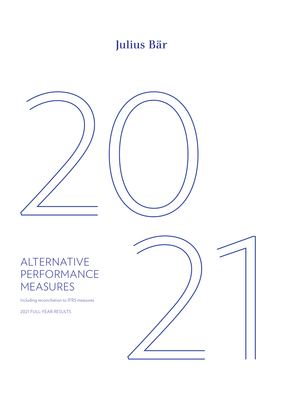# Julius Bär





## ALTERNATIVE PERFORMANCE MEASURES

Including reconciliation to IFRS measures

2021 FULL-YEAR RESULTS

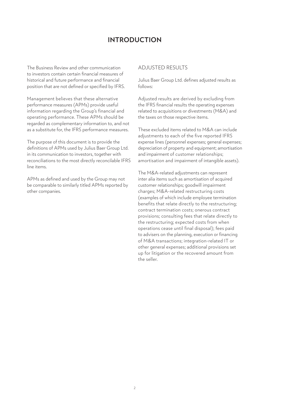### **INTRODUCTION**

The Business Review and other communication to investors contain certain financial measures of historical and future performance and financial position that are not defined or specified by IFRS.

Management believes that these alternative performance measures (APMs) provide useful information regarding the Group's financial and operating performance. These APMs should be regarded as complementary information to, and not as a substitute for, the IFRS performance measures.

The purpose of this document is to provide the definitions of APMs used by Julius Baer Group Ltd. in its communication to investors, together with reconciliations to the most directly reconcilable IFRS line items.

APMs as defined and used by the Group may not be comparable to similarly titled APMs reported by other companies.

#### ADJUSTED RESULTS

Julius Baer Group Ltd. defines adjusted results as follows:

Adjusted results are derived by excluding from the IFRS financial results the operating expenses related to acquisitions or divestments (M&A) and the taxes on those respective items.

These excluded items related to M&A can include adjustments to each of the five reported IFRS expense lines (personnel expenses; general expenses; depreciation of property and equipment; amortisation and impairment of customer relationships; amortisation and impairment of intangible assets).

The M&A-related adjustments can represent inter alia items such as amortisation of acquired customer relationships; goodwill impairment charges; M&A-related restructuring costs (examples of which include employee termination benefits that relate directly to the restructuring; contract termination costs; onerous contract provisions; consulting fees that relate directly to the restructuring; expected costs from when operations cease until final disposal); fees paid to advisers on the planning, execution or financing of M&A transactions; integration-related IT or other general expenses; additional provisions set up for litigation or the recovered amount from the seller.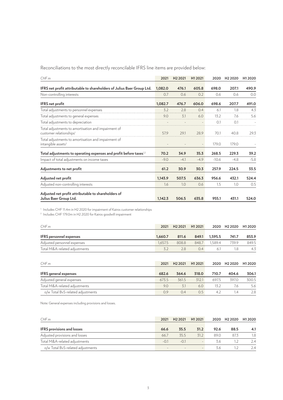Reconciliations to the most directly reconcilable IFRS line items are provided below:

| CHFm                                                                                       | 2021    | H <sub>2</sub> 2021 | H12021 | 2020    | H <sub>2</sub> 2020 | H1 2020 |
|--------------------------------------------------------------------------------------------|---------|---------------------|--------|---------|---------------------|---------|
| IFRS net profit attributable to shareholders of Julius Baer Group Ltd.                     | 1,082.0 | 476.1               | 605.8  | 698.0   | 207.1               | 490.9   |
| Non-controlling interests                                                                  | 0.7     | 0.6                 | 0.2    | 0.6     | 0.6                 | 0.0     |
| <b>IFRS</b> net profit                                                                     | 1,082.7 | 476.7               | 606.0  | 698.6   | 207.7               | 491.0   |
| Total adjustments to personnel expenses                                                    | 3.2     | 2.8                 | 0.4    | 6.1     | 1.8                 | 4.3     |
| Total adjustments to general expenses                                                      | 9.0     | 3.1                 | 6.0    | 13.2    | 7.6                 | 5.6     |
| Total adjustments to depreciation                                                          |         |                     |        | 0.1     | 0.1                 |         |
| Total adjustments to amortisation and impairment of<br>customer relationships <sup>1</sup> | 57.9    | 29.1                | 28.9   | 70.1    | 40.8                | 29.3    |
| Total adjustments to amortisation and impairment of<br>intangible assets <sup>2</sup>      |         |                     |        | 179.0   | 179.0               |         |
| Total adjustments to operating expenses and profit before taxes $^{1,2}$                   | 70.2    | 34.9                | 35.3   | 268.5   | 229.3               | 39.2    |
| Impact of total adjustments on income taxes                                                | $-9.0$  | $-4.1$              | $-4.9$ | $-10.6$ | $-4.8$              | $-5.8$  |
| Adjustments to net profit                                                                  | 61.2    | 30.9                | 30.3   | 257.9   | 224.5               | 33.5    |
| Adjusted net profit                                                                        | 1,143.9 | 507.5               | 636.3  | 956.6   | 432.1               | 524.4   |
| Adjusted non-controlling interests                                                         | 1.6     | 1.0                 | 0.6    | 1.5     | 1.0                 | 0.5     |
| Adjusted net profit attributable to shareholders of<br>Julius Baer Group Ltd.              | 1,142.3 | 506.5               | 635.8  | 955.1   | 431.1               | 524.0   |

<sup>1</sup> Includes CHF 11.4m in H2 2020 for impairment of Kairos customer relationships

<sup>2</sup> Includes CHF 179.0m in H2 2020 for Kairos goodwill impairment

| CHFm                           | 2021    | H <sub>2</sub> 2021 | H12021 |         | 2020 H2 2020 H1 2020 |       |
|--------------------------------|---------|---------------------|--------|---------|----------------------|-------|
| <b>IFRS</b> personnel expenses | 1.660.7 | 811.6               | 849.1  | 1.595.5 | 741.7                | 853.9 |
| Adjusted personnel expenses    | 1.657.5 | 808.8               | 848.7  | 1.589.4 | 739.9                | 849.5 |
| Total M&A-related adjustments  | スつ      | 78                  | 04     | 61      | 1.8                  | 4.3   |

| CHFm                              | 2021  | H <sub>2</sub> 2021 | H <sub>1</sub> 2021 |       | 2020 H <sub>2</sub> 2020 | H1 2020 |
|-----------------------------------|-------|---------------------|---------------------|-------|--------------------------|---------|
| <b>IFRS</b> general expenses      | 682.6 | 364.6               | 318.0               | 710.7 | 404.6                    | 306.1   |
| Adjusted general expenses         | 673.5 | 361.5               | 312.1               | 697.5 | 397.0                    | 300.5   |
| Total M&A-related adjustments     | 9.0   | $\overline{5}1$     | 6.0                 | 13 2  | 7.6                      | 5.6     |
| o/w Total BvS-related adjustments | 09    | 0.4                 | $0.5^{\circ}$       | 42    | 1.4                      | 2.8     |

Note: General expenses including provisions and losses.

| CHFm                              | 2021  |       | H <sub>2</sub> 2021 H <sub>1</sub> 2021 |      | 2020 H2 2020 H1 2020 |     |
|-----------------------------------|-------|-------|-----------------------------------------|------|----------------------|-----|
| <b>IFRS</b> provisions and losses | 66.6  | 35.5  | 31.2                                    | 92.6 | 88.5                 | 4.1 |
| Adjusted provisions and losses    | 66.7  | 355   | 31.2                                    | 89.0 | 87.3                 | 1.8 |
| Total M&A-related adjustments     | $-01$ | $-01$ | $\sim$                                  | 3.6  |                      | 2.4 |
| o/w Total BvS-related adjustments |       |       |                                         |      |                      | 74  |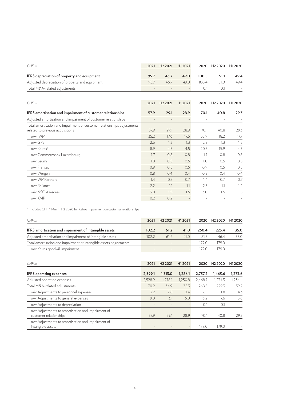| CHFm                                                                                                        | 2021 | H <sub>2</sub> 2021 | H12021                   | 2020  | H <sub>2</sub> 2020 | H1 2020 |
|-------------------------------------------------------------------------------------------------------------|------|---------------------|--------------------------|-------|---------------------|---------|
| IFRS depreciation of property and equipment                                                                 | 95.7 | 46.7                | 49.0                     | 100.5 | 51.1                | 49.4    |
| Adjusted depreciation of property and equipment                                                             | 95.7 | 46.7                | 49.0                     | 100.4 | 51.0                | 49.4    |
| Total M&A-related adjustments                                                                               |      |                     | $\overline{a}$           | 0.1   | 0.1                 |         |
| CHFm                                                                                                        | 2021 | H <sub>2</sub> 2021 | H12021                   | 2020  | H <sub>2</sub> 2020 | H12020  |
| <b>IFRS</b> amortisation and impairment of customer relationships                                           | 57.9 | 29.1                | 28.9                     | 70.1  | 40.8                | 29.3    |
| Adjusted amortisation and impairment of customer relationships                                              |      |                     |                          |       |                     |         |
| Total amortisation and impairment of customer relationships adjustments<br>related to previous acquisitions | 57.9 | 29.1                | 28.9                     | 70.1  | 40.8                | 29.3    |
| o/w IWM                                                                                                     | 35.2 | 17.6                | 17.6                     | 35.9  | 18.2                | 17.7    |
| o/w GPS                                                                                                     | 2.6  | 1.3                 | 1.3                      | 2.8   | 1.3                 | 1.5     |
| o/w Kairos <sup>1</sup>                                                                                     | 8.9  | 4.5                 | 4.5                      | 20.3  | 15.9                | 4.5     |
| o/w Commerzbank Luxembourg                                                                                  | 1.7  | 0.8                 | 0.8                      | 1.7   | 0.8                 | 0.8     |
| o/w Leumi                                                                                                   | 1.0  | 0.5                 | 0.5                      | 1.0   | 0.5                 | 0.5     |
| o/w Fransad                                                                                                 | 0.9  | 0.5                 | 0.5                      | 0.9   | 0.5                 | 0.5     |
| o/w Wergen                                                                                                  | 0.8  | 0.4                 | 0.4                      | 0.8   | 0.4                 | 0.4     |
| o/w WMPartners                                                                                              | 1.4  | 0.7                 | 0.7                      | 1.4   | 0.7                 | 0.7     |
| o/w Reliance                                                                                                | 2.2  | 1.1                 | 1.1                      | 2.3   | 1.1                 | 1.2     |
| o/w NSC Asesores                                                                                            | 3.0  | 1.5                 | 1.5                      | 3.0   | 1.5                 | 1.5     |
| o/w KMP                                                                                                     | 0.2  | 0.2                 | $\overline{\phantom{a}}$ |       |                     |         |

<sup>1</sup> Includes CHF 11.4m in H2 2020 for Kairos impairment on customer relationships

| CHFm                                                               | 2021                     | H <sub>2</sub> 2021 | H <sub>1</sub> 2021 |       | 2020 H <sub>2</sub> 2020 | H12020 |
|--------------------------------------------------------------------|--------------------------|---------------------|---------------------|-------|--------------------------|--------|
| IFRS amortisation and impairment of intangible assets              | 102.2                    | 61.2                | 41.0                | 260.4 | 225.4                    | 35.0   |
| Adjusted amortisation and impairment of intangible assets          | 102.2                    | 612                 | 41.0                | 813   | 46.4                     | 35.0   |
| Total amortisation and impairment of intangible assets adjustments | $\overline{\phantom{a}}$ | $\sim$              | $\sim$              | 1790  | 179.0                    |        |
| o/w Kairos goodwill impairment                                     | $\overline{\phantom{a}}$ |                     | $\sim$              | 179 O | 179.0                    |        |

| CHFm                                                                        | 2021    | H <sub>2</sub> 2021 | H <sub>1</sub> 2021 | 2020    | H <sub>2</sub> 2020 | H12020  |
|-----------------------------------------------------------------------------|---------|---------------------|---------------------|---------|---------------------|---------|
| <b>IFRS</b> operating expenses                                              | 2,599.1 | 1,313.0             | 1,286.1             | 2,737.2 | 1,463.6             | 1,273.6 |
| Adjusted operating expenses                                                 | 2,528.9 | 1,278.1             | 1,250.8             | 2,468.7 | 1,234.3             | 1,234.4 |
| Total M&A-related adjustments                                               | 70.2    | 34.9                | 35.3                | 268.5   | 229.3               | 39.2    |
| o/w Adjustments to personnel expenses                                       | 3.2     | 2.8                 | 0.4                 | 6.1     | 1.8                 | 4.3     |
| o/w Adjustments to general expenses                                         | 9.0     | 3.1                 | 6.0                 | 13.2    | 7.6                 | 5.6     |
| o/w Adjustments to depreciation                                             |         |                     | $\qquad \qquad$     | 0.1     | 0.1                 |         |
| o/w Adjustments to amortisation and impairment of<br>customer relationships | 57.9    | 29.1                | 28.9                | 70.1    | 40.8                | 29.3    |
| o/w Adjustments to amortisation and impairment of<br>intangible assets      |         |                     |                     | 179.0   | 179.0               |         |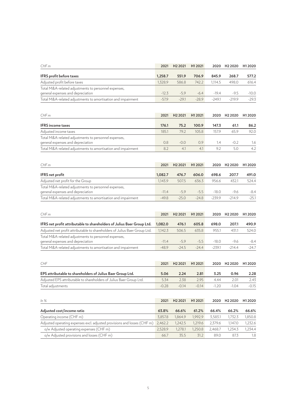| CHF <sub>m</sub>                                                                          | 2021    | H <sub>2</sub> 2021 | H12021  |          | 2020 H2 2020        | H1 2020             |
|-------------------------------------------------------------------------------------------|---------|---------------------|---------|----------|---------------------|---------------------|
| IFRS profit before taxes                                                                  | 1,258.7 | 551.9               | 706.9   | 845.9    | 268.7               | 577.2               |
| Adjusted profit before taxes                                                              | 1,328.9 | 586.8               | 742.2   | 1,114.5  | 498.0               | 616.4               |
| Total M&A-related adjustments to personnel expenses,<br>general expenses and depreciation | $-12.3$ | $-5.9$              | $-6.4$  | $-19.4$  | $-9.5$              | $-10.0$             |
| Total M&A-related adjustments to amortisation and impairment                              | $-57.9$ | $-29.1$             | $-28.9$ | $-249.1$ | $-219.9$            | $-29.3$             |
| CHF <sub>m</sub>                                                                          | 2021    | H <sub>2</sub> 2021 | H12021  | 2020     | H <sub>2</sub> 2020 | H1 2020             |
| <b>IFRS</b> income taxes                                                                  | 176.1   | 75.2                | 100.9   | 147.3    | 61.1                | 86.2                |
| Adjusted income taxes                                                                     | 185.1   | 79.2                | 105.8   | 157.9    | 65.9                | 92.0                |
| Total M&A-related adjustments to personnel expenses,<br>general expenses and depreciation | 0.8     | $-0.0$              | 0.9     | 1.4      | $-0.2$              | 1.6                 |
| Total M&A-related adjustments to amortisation and impairment                              | 8.2     | 4.1                 | 4.1     | 9.2      | 5.0                 | 4.2                 |
| CHF <sub>m</sub>                                                                          | 2021    | H <sub>2</sub> 2021 | H12021  | 2020     | H <sub>2</sub> 2020 | H1 2020             |
| IFRS net profit                                                                           | 1,082.7 | 476.7               | 606.0   | 698.6    | 207.7               | 491.0               |
| Adjusted net profit for the Group                                                         | 1,143.9 | 507.5               | 636.3   | 956.6    | 432.1               | 524.4               |
| Total M&A-related adjustments to personnel expenses,<br>general expenses and depreciation | $-11.4$ | $-5.9$              | $-5.5$  | $-18.0$  | $-9.6$              | -8.4                |
| Total M&A-related adjustments to amortisation and impairment                              | $-49.8$ | $-25.0$             | $-24.8$ | $-239.9$ | $-214.9$            | $-25.1$             |
| CHFm                                                                                      | 2021    | H <sub>2</sub> 2021 | H12021  | 2020     | H <sub>2</sub> 2020 | H <sub>1</sub> 2020 |
| IFRS net profit attributable to shareholders of Julius Baer Group Ltd.                    | 1,082.0 | 476.1               | 605.8   | 698.0    | 207.1               | 490.9               |
| Adjusted net profit attributable to shareholders of Julius Baer Group Ltd.                | 1,142.3 | 506.5               | 635.8   | 955.1    | 431.1               | 524.0               |
| Total M&A-related adjustments to personnel expenses,<br>general expenses and depreciation | $-11.4$ | $-5.9$              | $-5.5$  | $-18.0$  | $-9.6$              | -8.4                |
| Total M&A-related adjustments to amortisation and impairment                              | $-48.9$ | $-24.5$             | $-24.4$ | $-239.1$ | $-214.4$            | $-24.7$             |
| <b>CHF</b>                                                                                | 2021    | H <sub>2</sub> 2021 | H12021  | 2020     | H <sub>2</sub> 2020 | H1 2020             |
| EPS attributable to shareholders of Julius Baer Group Ltd.                                | 5.06    | 2.24                | 2.81    | 3.25     | 0.96                | 2.28                |
| Adjusted EPS attributable to shareholders of Julius Baer Group Ltd.                       | 5.34    | 2.38                | 2.95    | 4.44     | 2.01                | 2.43                |

| $ln\%$                                                                           | 2021    | H <sub>2</sub> 2021 | H1 2021 | 2020    | H <sub>2</sub> 2020 | H <sub>1</sub> 2020 |
|----------------------------------------------------------------------------------|---------|---------------------|---------|---------|---------------------|---------------------|
| Adjusted cost/income ratio                                                       | 63.8%   | 66.6%               | 61.2%   | 66.4%   | 66.2%               | 66.6%               |
| Operating income (CHF m)                                                         | 3.857.8 | 1.864.9             | 1.992.9 | 3.583.1 | 1.732.3             | 1,850.8             |
| Adjusted operating expenses excl. adjusted provisions and losses (CHF m) 2,462.2 |         | 1.242.5             | 1.219.6 | 2.379.6 | 1.147.0             | 1.232.6             |
| o/w Adjusted operating expenses (CHF m)                                          | 2.528.9 | 1.278.1             | 1.250.8 | 2.468.7 | 1.234.3             | 1.234.4             |
| o/w Adjusted provisions and losses (CHF m)                                       | 66.7    | 35.5                | 31.2    | 89.0    | 87.3                | 1.8                 |

Total adjustments **Total adjustments** -0.28 -0.14 -0.14 -1.20 -1.04 -0.15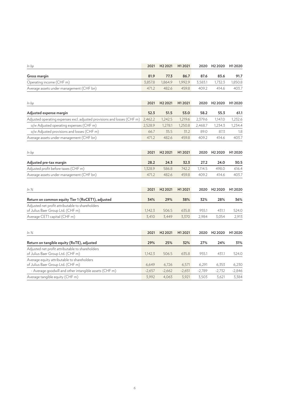| In bp                                                                                 | 2021     | H <sub>2</sub> 2021 | H12021   | 2020     | H <sub>2</sub> 2020 | H <sub>1</sub> 2020 |
|---------------------------------------------------------------------------------------|----------|---------------------|----------|----------|---------------------|---------------------|
| Gross margin                                                                          | 81.9     | 77.3                | 86.7     | 87.6     | 83.6                | 91.7                |
| Operating income (CHF m)                                                              | 3,857.8  | 1,864.9             | 1,992.9  | 3,583.1  | 1,732.3             | 1,850.8             |
| Average assets under management (CHF bn)                                              | 471.2    | 482.6               | 459.8    | 409.2    | 414.6               | 403.7               |
| In bp                                                                                 | 2021     | H <sub>2</sub> 2021 | H12021   | 2020     | H <sub>2</sub> 2020 | H1 2020             |
| Adjusted expense margin                                                               | 52.3     | 51.5                | 53.0     | 58.2     | 55.3                | 61.1                |
| Adjusted operating expenses excl. adjusted provisions and losses (CHF m)              | 2,462.2  | 1,242.5             | 1,219.6  | 2,379.6  | 1,147.0             | 1,232.6             |
| o/w Adjusted operating expenses (CHF m)                                               | 2,528.9  | 1,278.1             | 1,250.8  | 2,468.7  | 1,234.3             | 1,234.4             |
| o/w Adjusted provisions and losses (CHF m)                                            | 66.7     | 35.5                | 31.2     | 89.0     | 87.3                | 1.8                 |
| Average assets under management (CHF bn)                                              | 471.2    | 482.6               | 459.8    | 409.2    | 414.6               | 403.7               |
| In bp                                                                                 | 2021     | H <sub>2</sub> 2021 | H12021   | 2020     | H <sub>2</sub> 2020 | H1 2020             |
| Adjusted pre-tax margin                                                               | 28.2     | 24.3                | 32.3     | 27.2     | 24.0                | 30.5                |
| Adjusted profit before taxes (CHF m)                                                  | 1,328.9  | 586.8               | 742.2    | 1,114.5  | 498.0               | 616.4               |
| Average assets under management (CHF bn)                                              | 471.2    | 482.6               | 459.8    | 409.2    | 414.6               | 403.7               |
| $ln\%$                                                                                | 2021     | H <sub>2</sub> 2021 | H12021   | 2020     | H <sub>2</sub> 2020 | H <sub>1</sub> 2020 |
| Return on common equity Tier 1 (RoCET1), adjusted                                     | 34%      | 29%                 | 38%      | 32%      | 28%                 | 36%                 |
| Adjusted net profit attributable to shareholders<br>of Julius Baer Group Ltd. (CHF m) | 1,142.3  | 506.5               | 635.8    | 955.1    | 431.1               | 524.0               |
| Average CET1 capital (CHF m)                                                          | 3,410    | 3,449               | 3,370    | 2,984    | 3,054               | 2,913               |
| $ln\%$                                                                                | 2021     | H <sub>2</sub> 2021 | H12021   | 2020     | H <sub>2</sub> 2020 | H <sub>1</sub> 2020 |
| Return on tangible equity (RoTE), adjusted                                            | 29%      | 25%                 | 32%      | 27%      | 24%                 | 31%                 |
| Adjusted net profit attributable to shareholders<br>of Julius Baer Group Ltd. (CHF m) | 1,142.3  | 506.5               | 635.8    | 955.1    | 431.1               | 524.0               |
| Average equity attributable to shareholders<br>of Julius Baer Group Ltd. (CHF m)      | 6,649    | 6,726               | 6,571    | 6,291    | 6,353               | 6,230               |
| - Average goodwill and other intangible assets (CHF m)                                | $-2,657$ | $-2,662$            | $-2,651$ | $-2,789$ | -2,732              | $-2,846$            |
| Average tangible equity (CHF m)                                                       | 3,992    | 4,063               | 3,921    | 3,503    | 3,621               | 3,384               |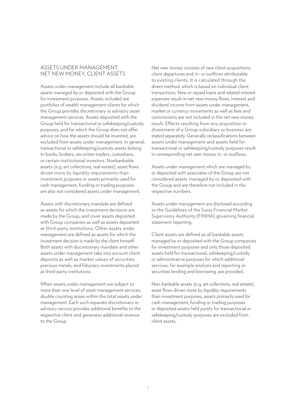#### ASSETS UNDER MANAGEMENT, NET NEW MONEY, CLIENT ASSETS

Assets under management include all bankable assets managed by or deposited with the Group for investment purposes. Assets included are portfolios of wealth management clients for which the Group provides discretionary or advisory asset management services. Assets deposited with the Group held for transactional or safekeeping/custody purposes, and for which the Group does not offer advice on how the assets should be invested, are excluded from assets under management. In general, transactional or safekeeping/custody assets belong to banks, brokers, securities traders, custodians, or certain institutional investors. Nonbankable assets (e.g. art collections, real estate), asset flows driven more by liquidity requirements than investment purposes or assets primarily used for cash management, funding or trading purposes are also not considered assets under management.

Assets with discretionary mandate are defined as assets for which the investment decisions are made by the Group, and cover assets deposited with Group companies as well as assets deposited at third-party institutions. Other assets under management are defined as assets for which the investment decision is made by the client himself. Both assets with discretionary mandate and other assets under management take into account client deposits as well as market values of securities, precious metals, and fiduciary investments placed at third-party institutions.

When assets under management are subject to more than one level of asset management services, double counting arises within the total assets under management. Each such separate discretionary or advisory service provides additional benefits to the respective client and generates additional revenue to the Group.

Net new money consists of new client acquisitions, client departures and in- or outflows attributable to existing clients. It is calculated through the direct method, which is based on individual client transactions. New or repaid loans and related interest expenses result in net new money flows. Interest and dividend income from assets under management, market or currency movements as well as fees and commissions are not included in the net new money result. Effects resulting from any acquisition or divestment of a Group subsidiary or business are stated separately. Generally reclassifications between assets under management and assets held for transactional or safekeeping/custody purposes result in corresponding net new money in- or outflows.

Assets under management which are managed by or deposited with associates of the Group are not considered assets managed by or deposited with the Group and are therefore not included in the respective numbers.

Assets under management are disclosed according to the Guidelines of the Swiss Financial Market Supervisory Authority (FINMA) governing financial statement reporting.

Client assets are defined as all bankable assets managed by or deposited with the Group companies for investment purposes and only those deposited assets held for transactional, safekeeping/custody or administrative purposes for which additional services, for example analysis and reporting or securities lending and borrowing, are provided.

Non-bankable assets (e.g. art collections, real estate), asset flows driven more by liquidity requirements than investment purposes, assets primarily used for cash management, funding or trading purposes or deposited assets held purely for transactional or safekeeping/custody purposes are excluded from client assets.